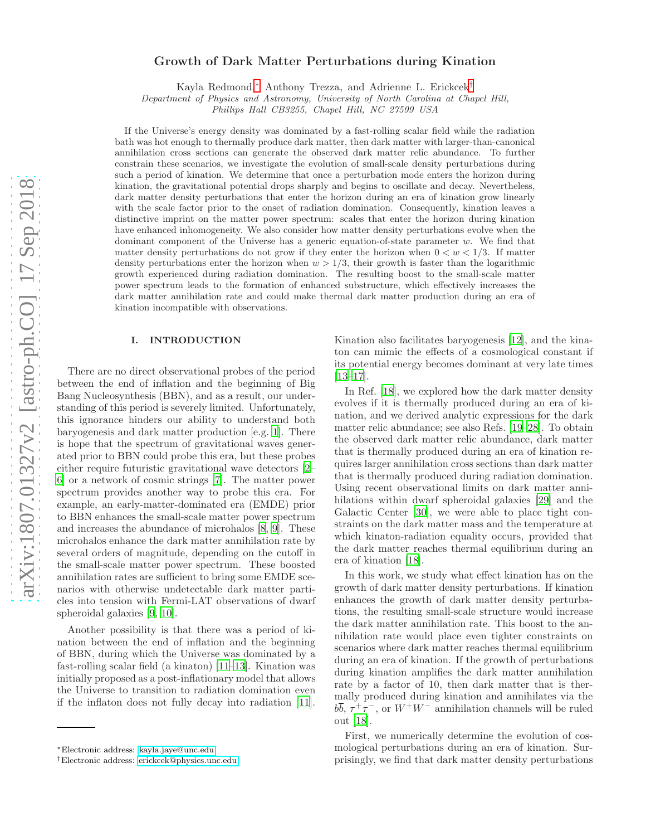# Growth of Dark Matter Perturbations during Kination

Kayla Redmond,[∗](#page-0-0) Anthony Trezza, and Adrienne L. Erickcek[†](#page-0-1)

Department of Physics and Astronomy, University of North Carolina at Chapel Hill,

Phillips Hall CB3255, Chapel Hill, NC 27599 USA

If the Universe's energy density was dominated by a fast-rolling scalar field while the radiation bath was hot enough to thermally produce dark matter, then dark matter with larger-than-canonical annihilation cross sections can generate the observed dark matter relic abundance. To further constrain these scenarios, we investigate the evolution of small-scale density perturbations during such a period of kination. We determine that once a perturbation mode enters the horizon during kination, the gravitational potential drops sharply and begins to oscillate and decay. Nevertheless, dark matter density perturbations that enter the horizon during an era of kination grow linearly with the scale factor prior to the onset of radiation domination. Consequently, kination leaves a distinctive imprint on the matter power spectrum: scales that enter the horizon during kination have enhanced inhomogeneity. We also consider how matter density perturbations evolve when the dominant component of the Universe has a generic equation-of-state parameter w. We find that matter density perturbations do not grow if they enter the horizon when  $0 < w < 1/3$ . If matter density perturbations enter the horizon when  $w > 1/3$ , their growth is faster than the logarithmic growth experienced during radiation domination. The resulting boost to the small-scale matter power spectrum leads to the formation of enhanced substructure, which effectively increases the dark matter annihilation rate and could make thermal dark matter production during an era of kination incompatible with observations.

### I. INTRODUCTION

There are no direct observational probes of the period between the end of inflation and the beginning of Big Bang Nucleosynthesis (BBN), and as a result, our understanding of this period is severely limited. Unfortunately, this ignorance hinders our ability to understand both baryogenesis and dark matter production [e.g. [1\]](#page-11-0). There is hope that the spectrum of gravitational waves generated prior to BBN could probe this era, but these probes either require futuristic gravitational wave detectors [\[2](#page-11-1)– [6](#page-11-2)] or a network of cosmic strings [\[7\]](#page-11-3). The matter power spectrum provides another way to probe this era. For example, an early-matter-dominated era (EMDE) prior to BBN enhances the small-scale matter power spectrum and increases the abundance of microhalos [\[8,](#page-11-4) [9](#page-11-5)]. These microhalos enhance the dark matter annihilation rate by several orders of magnitude, depending on the cutoff in the small-scale matter power spectrum. These boosted annihilation rates are sufficient to bring some EMDE scenarios with otherwise undetectable dark matter particles into tension with Fermi-LAT observations of dwarf spheroidal galaxies [\[9,](#page-11-5) [10\]](#page-11-6).

Another possibility is that there was a period of kination between the end of inflation and the beginning of BBN, during which the Universe was dominated by a fast-rolling scalar field (a kinaton) [\[11](#page-11-7)[–13](#page-11-8)]. Kination was initially proposed as a post-inflationary model that allows the Universe to transition to radiation domination even if the inflaton does not fully decay into radiation [\[11\]](#page-11-7).

Kination also facilitates baryogenesis [\[12\]](#page-11-9), and the kinaton can mimic the effects of a cosmological constant if its potential energy becomes dominant at very late times [\[13](#page-11-8)[–17\]](#page-11-10).

In Ref. [\[18](#page-11-11)], we explored how the dark matter density evolves if it is thermally produced during an era of kination, and we derived analytic expressions for the dark matter relic abundance; see also Refs. [\[19](#page-11-12)[–28](#page-11-13)]. To obtain the observed dark matter relic abundance, dark matter that is thermally produced during an era of kination requires larger annihilation cross sections than dark matter that is thermally produced during radiation domination. Using recent observational limits on dark matter annihilations within dwarf spheroidal galaxies [\[29](#page-11-14)] and the Galactic Center [\[30](#page-11-15)], we were able to place tight constraints on the dark matter mass and the temperature at which kinaton-radiation equality occurs, provided that the dark matter reaches thermal equilibrium during an era of kination [\[18\]](#page-11-11).

In this work, we study what effect kination has on the growth of dark matter density perturbations. If kination enhances the growth of dark matter density perturbations, the resulting small-scale structure would increase the dark matter annihilation rate. This boost to the annihilation rate would place even tighter constraints on scenarios where dark matter reaches thermal equilibrium during an era of kination. If the growth of perturbations during kination amplifies the dark matter annihilation rate by a factor of 10, then dark matter that is thermally produced during kination and annihilates via the  $b\overline{b}$ ,  $\tau^+\tau^-$ , or  $W^+W^-$  annihilation channels will be ruled out [\[18\]](#page-11-11).

First, we numerically determine the evolution of cosmological perturbations during an era of kination. Surprisingly, we find that dark matter density perturbations

<span id="page-0-0"></span><sup>∗</sup>Electronic address: [kayla.jaye@unc.edu](mailto:kayla.jaye@unc.edu)

<span id="page-0-1"></span><sup>†</sup>Electronic address: [erickcek@physics.unc.edu](mailto:erickcek@physics.unc.edu)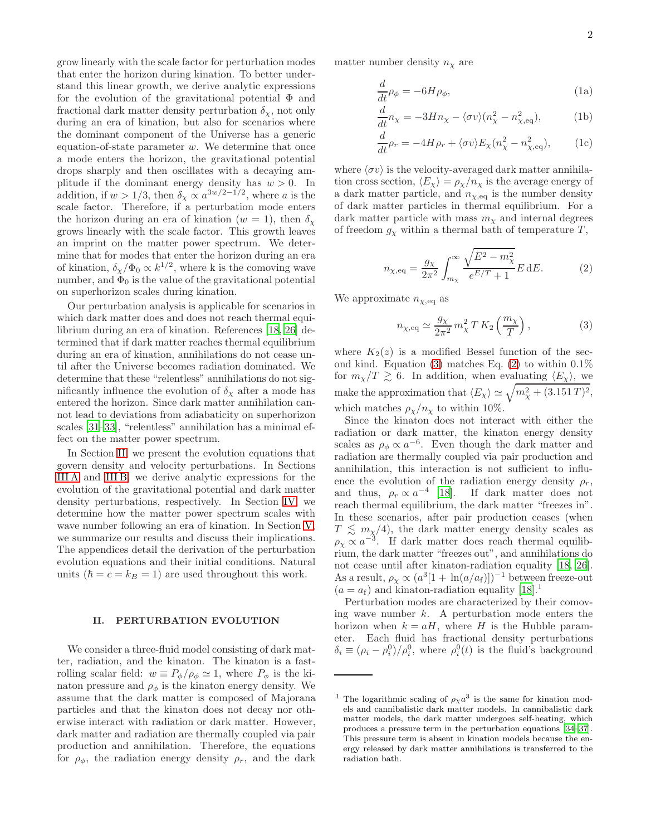grow linearly with the scale factor for perturbation modes that enter the horizon during kination. To better understand this linear growth, we derive analytic expressions for the evolution of the gravitational potential  $\Phi$  and fractional dark matter density perturbation  $\delta_{\chi}$ , not only during an era of kination, but also for scenarios where the dominant component of the Universe has a generic equation-of-state parameter  $w$ . We determine that once a mode enters the horizon, the gravitational potential drops sharply and then oscillates with a decaying amplitude if the dominant energy density has  $w > 0$ . In addition, if  $w > 1/3$ , then  $\delta_{\chi} \propto a^{3w/2-1/2}$ , where a is the scale factor. Therefore, if a perturbation mode enters the horizon during an era of kination ( $w = 1$ ), then  $\delta_{\gamma}$ grows linearly with the scale factor. This growth leaves an imprint on the matter power spectrum. We determine that for modes that enter the horizon during an era of kination,  $\delta_{\chi}/\Phi_0 \propto k^{1/2}$ , where k is the comoving wave number, and  $\Phi_0$  is the value of the gravitational potential on superhorizon scales during kination.

Our perturbation analysis is applicable for scenarios in which dark matter does and does not reach thermal equilibrium during an era of kination. References [\[18,](#page-11-11) [26](#page-11-16)] determined that if dark matter reaches thermal equilibrium during an era of kination, annihilations do not cease until after the Universe becomes radiation dominated. We determine that these "relentless" annihilations do not significantly influence the evolution of  $\delta_{\chi}$  after a mode has entered the horizon. Since dark matter annihilation cannot lead to deviations from adiabaticity on superhorizon scales [\[31](#page-11-17)[–33\]](#page-11-18), "relentless" annihilation has a minimal effect on the matter power spectrum.

In Section [II,](#page-1-0) we present the evolution equations that govern density and velocity perturbations. In Sections [III A](#page-3-0) and [III B,](#page-4-0) we derive analytic expressions for the evolution of the gravitational potential and dark matter density perturbations, respectively. In Section [IV,](#page-7-0) we determine how the matter power spectrum scales with wave number following an era of kination. In Section [V,](#page-8-0) we summarize our results and discuss their implications. The appendices detail the derivation of the perturbation evolution equations and their initial conditions. Natural units  $(\hbar = c = k_B = 1)$  are used throughout this work.

### <span id="page-1-0"></span>II. PERTURBATION EVOLUTION

We consider a three-fluid model consisting of dark matter, radiation, and the kinaton. The kinaton is a fastrolling scalar field:  $w \equiv P_{\phi}/\rho_{\phi} \simeq 1$ , where  $P_{\phi}$  is the kinaton pressure and  $\rho_{\phi}$  is the kinaton energy density. We assume that the dark matter is composed of Majorana particles and that the kinaton does not decay nor otherwise interact with radiation or dark matter. However, dark matter and radiation are thermally coupled via pair production and annihilation. Therefore, the equations for  $\rho_{\phi}$ , the radiation energy density  $\rho_r$ , and the dark

matter number density  $n<sub>x</sub>$  are

$$
\frac{d}{dt}\rho_{\phi} = -6H\rho_{\phi},\tag{1a}
$$

$$
\frac{d}{dt}n_{\chi} = -3Hn_{\chi} - \langle \sigma v \rangle (n_{\chi}^2 - n_{\chi, \text{eq}}^2),\tag{1b}
$$

<span id="page-1-3"></span>
$$
\frac{d}{dt}\rho_r = -4H\rho_r + \langle \sigma v \rangle E_\chi (n_\chi^2 - n_{\chi,\text{eq}}^2),\qquad(1c)
$$

where  $\langle \sigma v \rangle$  is the velocity-averaged dark matter annihilation cross section,  $\langle E_{\chi} \rangle = \rho_{\chi}/n_{\chi}$  is the average energy of a dark matter particle, and  $n_{\chi,\text{eq}}$  is the number density of dark matter particles in thermal equilibrium. For a dark matter particle with mass  $m<sub>\chi</sub>$  and internal degrees of freedom  $g_{\chi}$  within a thermal bath of temperature T,

$$
n_{\chi, \text{eq}} = \frac{g_{\chi}}{2\pi^2} \int_{m_{\chi}}^{\infty} \frac{\sqrt{E^2 - m_{\chi}^2}}{e^{E/T} + 1} E \, dE. \tag{2}
$$

We approximate  $n_{\chi,\text{eq}}$  as

<span id="page-1-2"></span><span id="page-1-1"></span>
$$
n_{\chi,\text{eq}} \simeq \frac{g_{\chi}}{2\pi^2} m_{\chi}^2 T K_2 \left(\frac{m_{\chi}}{T}\right),\tag{3}
$$

where  $K_2(z)$  is a modified Bessel function of the sec-ond kind. Equation [\(3\)](#page-1-1) matches Eq. [\(2\)](#page-1-2) to within  $0.1\%$ for  $m_\chi/T \gtrsim 6$ . In addition, when evaluating  $\langle E_\chi \rangle$ , we make the approximation that  $\langle E_\chi \rangle \simeq \sqrt{m_\chi^2 + (3.151 \, T)^2}$ , which matches  $\rho_{\chi}/n_{\chi}$  to within 10%.

Since the kinaton does not interact with either the radiation or dark matter, the kinaton energy density scales as  $\rho_{\phi} \propto a^{-6}$ . Even though the dark matter and radiation are thermally coupled via pair production and annihilation, this interaction is not sufficient to influence the evolution of the radiation energy density  $\rho_r$ , and thus,  $\rho_r \propto a^{-4}$  [\[18\]](#page-11-11). If dark matter does not reach thermal equilibrium, the dark matter "freezes in". In these scenarios, after pair production ceases (when  $T \lesssim m_{\chi}/4$ , the dark matter energy density scales as  $\rho_{\chi} \propto a^{-3}$ . If dark matter does reach thermal equilibrium, the dark matter "freezes out", and annihilations do not cease until after kinaton-radiation equality [\[18,](#page-11-11) [26\]](#page-11-16). As a result,  $\rho_{\chi} \propto (a^3[1 + \ln(a/a_f)])^{-1}$  between freeze-out  $(a = a_f)$  and kinaton-radiation equality [\[18](#page-11-11)].<sup>1</sup>

Perturbation modes are characterized by their comoving wave number  $k$ . A perturbation mode enters the horizon when  $k = aH$ , where H is the Hubble parameter. Each fluid has fractional density perturbations  $\delta_i \equiv (\rho_i - \rho_i^0)/\rho_i^0$ , where  $\rho_i^0(t)$  is the fluid's background

<sup>&</sup>lt;sup>1</sup> The logarithmic scaling of  $\rho_{\chi} a^3$  is the same for kination models and cannibalistic dark matter models. In cannibalistic dark matter models, the dark matter undergoes self-heating, which produces a pressure term in the perturbation equations [\[34](#page-11-19)[–37](#page-11-20)]. This pressure term is absent in kination models because the energy released by dark matter annihilations is transferred to the radiation bath.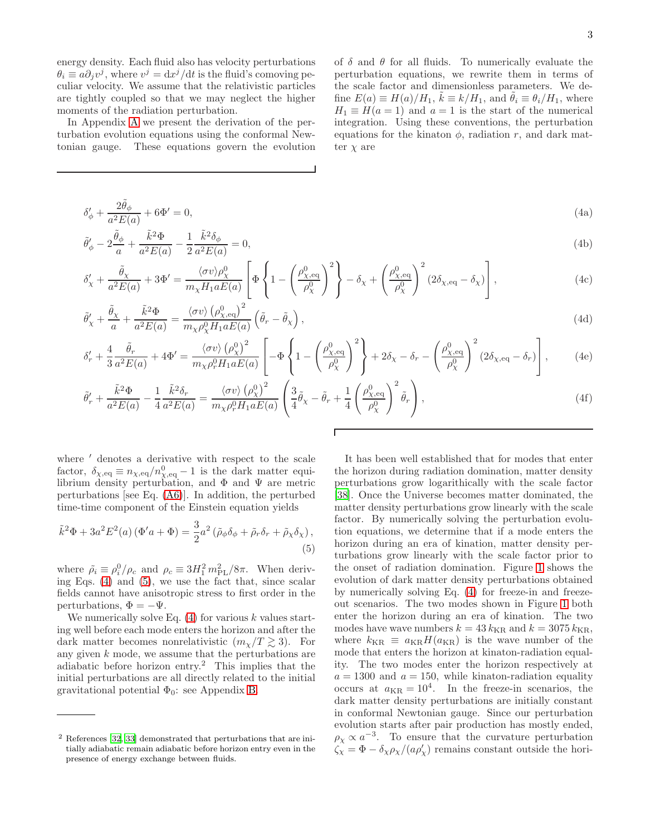energy density. Each fluid also has velocity perturbations  $\theta_i \equiv a\partial_j v^j$ , where  $v^j = dx^j/dt$  is the fluid's comoving peculiar velocity. We assume that the relativistic particles are tightly coupled so that we may neglect the higher moments of the radiation perturbation.

In Appendix [A](#page-9-0) we present the derivation of the perturbation evolution equations using the conformal Newtonian gauge. These equations govern the evolution of  $\delta$  and  $\theta$  for all fluids. To numerically evaluate the perturbation equations, we rewrite them in terms of the scale factor and dimensionless parameters. We define  $E(a) \equiv H(a)/H_1$ ,  $\tilde{k} \equiv k/H_1$ , and  $\tilde{\theta}_i \equiv \theta_i/H_1$ , where  $H_1 \equiv H(a=1)$  and  $a=1$  is the start of the numerical integration. Using these conventions, the perturbation equations for the kinaton  $\phi$ , radiation r, and dark matter  $\chi$  are

$$
\delta'_{\phi} + \frac{2\tilde{\theta}_{\phi}}{a^2 E(a)} + 6\Phi' = 0,\tag{4a}
$$

$$
\tilde{\theta}_{\phi}' - 2\frac{\tilde{\theta}_{\phi}}{a} + \frac{\tilde{k}^2 \Phi}{a^2 E(a)} - \frac{1}{2} \frac{\tilde{k}^2 \delta_{\phi}}{a^2 E(a)} = 0,
$$
\n(4b)

$$
\delta'_{\chi} + \frac{\tilde{\theta}_{\chi}}{a^2 E(a)} + 3\Phi' = \frac{\langle \sigma v \rangle \rho_{\chi}^0}{m_{\chi} H_1 a E(a)} \left[ \Phi \left\{ 1 - \left( \frac{\rho_{\chi, eq}^0}{\rho_{\chi}^0} \right)^2 \right\} - \delta_{\chi} + \left( \frac{\rho_{\chi, eq}^0}{\rho_{\chi}^0} \right)^2 (2\delta_{\chi, eq} - \delta_{\chi}) \right],
$$
\n(4c)

$$
\tilde{\theta}'_{\chi} + \frac{\tilde{\theta}_{\chi}}{a} + \frac{\tilde{k}^2 \Phi}{a^2 E(a)} = \frac{\langle \sigma v \rangle \left( \rho_{\chi, \text{eq}}^0 \right)^2}{m_{\chi} \rho_{\chi}^0 H_1 a E(a)} \left( \tilde{\theta}_r - \tilde{\theta}_{\chi} \right), \tag{4d}
$$

$$
\delta'_{r} + \frac{4}{3} \frac{\tilde{\theta}_{r}}{a^{2} E(a)} + 4 \Phi' = \frac{\langle \sigma v \rangle (\rho_{\chi}^{0})^{2}}{m_{\chi} \rho_{r}^{0} H_{1} a E(a)} \left[ -\Phi \left\{ 1 - \left( \frac{\rho_{\chi, \text{eq}}^{0}}{\rho_{\chi}^{0}} \right)^{2} \right\} + 2 \delta_{\chi} - \delta_{r} - \left( \frac{\rho_{\chi, \text{eq}}^{0}}{\rho_{\chi}^{0}} \right)^{2} (2 \delta_{\chi, \text{eq}} - \delta_{r}) \right], \tag{4e}
$$

$$
\tilde{\theta}'_r + \frac{\tilde{k}^2 \Phi}{a^2 E(a)} - \frac{1}{4} \frac{\tilde{k}^2 \delta_r}{a^2 E(a)} = \frac{\langle \sigma v \rangle \left( \rho_\chi^0 \right)^2}{m_\chi \rho_r^0 H_1 a E(a)} \left( \frac{3}{4} \tilde{\theta}_\chi - \tilde{\theta}_r + \frac{1}{4} \left( \frac{\rho_{\chi, \text{eq}}^0}{\rho_\chi^0} \right)^2 \tilde{\theta}_r \right),\tag{4f}
$$

<span id="page-2-0"></span>Г

where  $'$  denotes a derivative with respect to the scale factor,  $\delta_{\chi, \text{eq}} \equiv n_{\chi, \text{eq}}/n_{\chi, \text{eq}}^0 - 1$  is the dark matter equilibrium density perturbation, and  $\Phi$  and  $\Psi$  are metric perturbations [see Eq. [\(A6\)](#page-9-1)]. In addition, the perturbed time-time component of the Einstein equation yields

$$
\tilde{k}^2 \Phi + 3a^2 E^2(a) \left( \Phi' a + \Phi \right) = \frac{3}{2} a^2 \left( \tilde{\rho}_{\phi} \delta_{\phi} + \tilde{\rho}_r \delta_r + \tilde{\rho}_{\chi} \delta_{\chi} \right),\tag{5}
$$

where  $\tilde{\rho}_i \equiv \rho_i^0/\rho_c$  and  $\rho_c \equiv 3H_1^2 m_{\rm PL}^2/8\pi$ . When deriving Eqs. [\(4\)](#page-2-0) and [\(5\)](#page-2-1), we use the fact that, since scalar fields cannot have anisotropic stress to first order in the perturbations,  $\Phi = -\Psi$ .

We numerically solve Eq.  $(4)$  for various k values starting well before each mode enters the horizon and after the dark matter becomes nonrelativistic  $(m_\chi/T \gtrsim 3)$ . For any given  $k$  mode, we assume that the perturbations are adiabatic before horizon entry.<sup>2</sup> This implies that the initial perturbations are all directly related to the initial gravitational potential  $\Phi_0$ : see Appendix [B.](#page-10-0)

<span id="page-2-1"></span>It has been well established that for modes that enter the horizon during radiation domination, matter density perturbations grow logarithically with the scale factor [\[38\]](#page-11-22). Once the Universe becomes matter dominated, the matter density perturbations grow linearly with the scale factor. By numerically solving the perturbation evolution equations, we determine that if a mode enters the horizon during an era of kination, matter density perturbations grow linearly with the scale factor prior to the onset of radiation domination. Figure [1](#page-3-1) shows the evolution of dark matter density perturbations obtained by numerically solving Eq. [\(4\)](#page-2-0) for freeze-in and freezeout scenarios. The two modes shown in Figure [1](#page-3-1) both enter the horizon during an era of kination. The two modes have wave numbers  $k = 43 k_{\text{KR}}$  and  $k = 3075 k_{\text{KR}}$ , where  $k_{\text{KR}} \equiv a_{\text{KR}} H(a_{\text{KR}})$  is the wave number of the mode that enters the horizon at kinaton-radiation equality. The two modes enter the horizon respectively at  $a = 1300$  and  $a = 150$ , while kinaton-radiation equality occurs at  $a_{KR} = 10^4$ . In the freeze-in scenarios, the dark matter density perturbations are initially constant in conformal Newtonian gauge. Since our perturbation evolution starts after pair production has mostly ended,  $\rho_{\chi} \propto a^{-3}$ . To ensure that the curvature perturbation  $\zeta_{\chi} = \Phi - \delta_{\chi} \rho_{\chi} / (a \rho_{\chi}')$  remains constant outside the hori-

<sup>2</sup> References [\[32,](#page-11-21) [33\]](#page-11-18) demonstrated that perturbations that are initially adiabatic remain adiabatic before horizon entry even in the presence of energy exchange between fluids.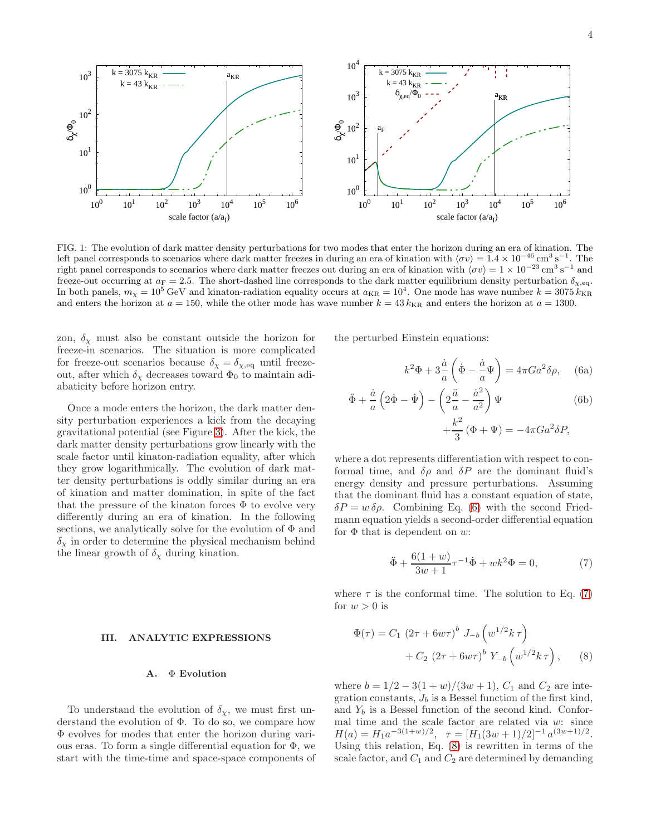

<span id="page-3-1"></span>FIG. 1: The evolution of dark matter density perturbations for two modes that enter the horizon during an era of kination. The left panel corresponds to scenarios where dark matter freezes in during an era of kination with  $\langle \sigma v \rangle = 1.4 \times 10^{-46} \text{ cm}^3 \text{ s}^{-1}$ . The right panel corresponds to scenarios where dark matter freezes out during an era of kination with  $\langle \sigma v \rangle = 1 \times 10^{-23} \text{ cm}^3 \text{ s}^{-1}$  and freeze-out occurring at  $a_F = 2.5$ . The short-dashed line corresponds to the dark matter equilibrium density perturbation  $\delta_{\chi,\text{eq}}$ . In both panels,  $m_{\chi} = 10^5 \text{ GeV}$  and kinaton-radiation equality occurs at  $a_{\text{KR}} = 10^4$ . One mode has wave number  $k = 3075 k_{\text{KR}}$ and enters the horizon at  $a = 150$ , while the other mode has wave number  $k = 43 k_{\text{KR}}$  and enters the horizon at  $a = 1300$ .

zon,  $\delta_{\chi}$  must also be constant outside the horizon for freeze-in scenarios. The situation is more complicated for freeze-out scenarios because  $\delta_\chi = \delta_{\chi,\text{eq}}$  until freezeout, after which  $\delta_\chi$  decreases toward  $\Phi_0$  to maintain adiabaticity before horizon entry.

Once a mode enters the horizon, the dark matter density perturbation experiences a kick from the decaying gravitational potential (see Figure [3\)](#page-4-1). After the kick, the dark matter density perturbations grow linearly with the scale factor until kinaton-radiation equality, after which they grow logarithmically. The evolution of dark matter density perturbations is oddly similar during an era of kination and matter domination, in spite of the fact that the pressure of the kinaton forces  $\Phi$  to evolve very differently during an era of kination. In the following sections, we analytically solve for the evolution of  $\Phi$  and  $\delta_{\chi}$  in order to determine the physical mechanism behind the linear growth of  $\delta_{\chi}$  during kination.

#### III. ANALYTIC EXPRESSIONS

#### <span id="page-3-0"></span>A. Φ Evolution

To understand the evolution of  $\delta_{\chi}$ , we must first understand the evolution of  $\Phi$ . To do so, we compare how Φ evolves for modes that enter the horizon during various eras. To form a single differential equation for Φ, we start with the time-time and space-space components of the perturbed Einstein equations:

<span id="page-3-2"></span>
$$
k^2 \Phi + 3\frac{\dot{a}}{a} \left(\dot{\Phi} - \frac{\dot{a}}{a} \Psi\right) = 4\pi G a^2 \delta \rho, \quad \text{(6a)}
$$

$$
\ddot{\Phi} + \frac{\dot{a}}{a} \left( 2\dot{\Phi} - \dot{\Psi} \right) - \left( 2\frac{\ddot{a}}{a} - \frac{\dot{a}^2}{a^2} \right) \Psi
$$
\n
$$
+ \frac{k^2}{3} \left( \Phi + \Psi \right) = -4\pi G a^2 \delta P,
$$
\n(6b)

where a dot represents differentiation with respect to conformal time, and  $\delta \rho$  and  $\delta P$  are the dominant fluid's energy density and pressure perturbations. Assuming that the dominant fluid has a constant equation of state,  $\delta P = w \,\delta \rho$ . Combining Eq. [\(6\)](#page-3-2) with the second Friedmann equation yields a second-order differential equation for  $\Phi$  that is dependent on w:

<span id="page-3-4"></span><span id="page-3-3"></span>
$$
\ddot{\Phi} + \frac{6(1+w)}{3w+1} \tau^{-1} \dot{\Phi} + wk^2 \Phi = 0, \tag{7}
$$

where  $\tau$  is the conformal time. The solution to Eq. [\(7\)](#page-3-3) for  $w > 0$  is

$$
\Phi(\tau) = C_1 (2\tau + 6w\tau)^b J_{-b} (w^{1/2}k\tau) \n+ C_2 (2\tau + 6w\tau)^b Y_{-b} (w^{1/2}k\tau),
$$
\n(8)

where  $b = 1/2 - 3(1 + w)/(3w + 1)$ ,  $C_1$  and  $C_2$  are integration constants,  $J_b$  is a Bessel function of the first kind, and  $Y_b$  is a Bessel function of the second kind. Conformal time and the scale factor are related via w: since  $H(a) = H_1 a^{-3(1+w)/2}, \quad \tau = [H_1(3w+1)/2]^{-1} a^{(3w+1)/2}.$ Using this relation, Eq.  $(8)$  is rewritten in terms of the scale factor, and  $C_1$  and  $C_2$  are determined by demanding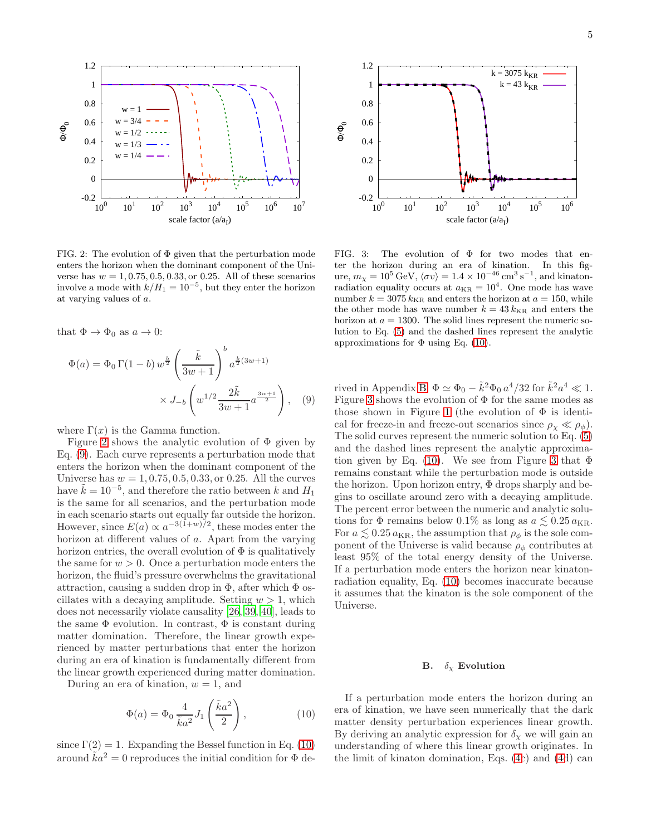

<span id="page-4-2"></span>FIG. 2: The evolution of  $\Phi$  given that the perturbation mode enters the horizon when the dominant component of the Universe has  $w = 1, 0.75, 0.5, 0.33,$  or 0.25. All of these scenarios involve a mode with  $k/H_1 = 10^{-5}$ , but they enter the horizon at varying values of a.

that  $\Phi \to \Phi_0$  as  $a \to 0$ :

$$
\Phi(a) = \Phi_0 \Gamma(1 - b) w^{\frac{b}{2}} \left(\frac{\tilde{k}}{3w + 1}\right)^b a^{\frac{b}{2}(3w + 1)} \times J_{-b} \left(w^{1/2} \frac{2\tilde{k}}{3w + 1} a^{\frac{3w + 1}{2}}\right), \quad (9)
$$

where  $\Gamma(x)$  is the Gamma function.

Figure [2](#page-4-2) shows the analytic evolution of  $\Phi$  given by Eq. [\(9\)](#page-4-3). Each curve represents a perturbation mode that enters the horizon when the dominant component of the Universe has  $w = 1, 0.75, 0.5, 0.33,$  or 0.25. All the curves have  $\tilde{k} = 10^{-5}$ , and therefore the ratio between k and  $H_1$ is the same for all scenarios, and the perturbation mode in each scenario starts out equally far outside the horizon. However, since  $E(a) \propto a^{-3(1+w)/2}$ , these modes enter the horizon at different values of a. Apart from the varying horizon entries, the overall evolution of  $\Phi$  is qualitatively the same for  $w > 0$ . Once a perturbation mode enters the horizon, the fluid's pressure overwhelms the gravitational attraction, causing a sudden drop in  $\Phi$ , after which  $\Phi$  oscillates with a decaying amplitude. Setting  $w > 1$ , which does not necessarily violate causality [\[26](#page-11-16), [39](#page-11-23), [40\]](#page-11-24), leads to the same  $\Phi$  evolution. In contrast,  $\Phi$  is constant during matter domination. Therefore, the linear growth experienced by matter perturbations that enter the horizon during an era of kination is fundamentally different from the linear growth experienced during matter domination.

During an era of kination,  $w = 1$ , and

$$
\Phi(a) = \Phi_0 \frac{4}{\tilde{k}a^2} J_1\left(\frac{\tilde{k}a^2}{2}\right),\tag{10}
$$

since  $\Gamma(2) = 1$ . Expanding the Bessel function in Eq. [\(10\)](#page-4-4) around  $\tilde{k}a^2 = 0$  reproduces the initial condition for  $\Phi$  de-



<span id="page-4-1"></span>FIG. 3: The evolution of  $\Phi$  for two modes that enter the horizon during an era of kination. In this figure,  $m_{\chi} = 10^5 \,\text{GeV}, \langle \sigma v \rangle = 1.4 \times 10^{-46} \,\text{cm}^3 \,\text{s}^{-1}$ , and kinatonradiation equality occurs at  $a_{KR} = 10^4$ . One mode has wave number  $k = 3075 k_{\text{KR}}$  and enters the horizon at  $a = 150$ , while the other mode has wave number  $k = 43 k_{\text{KR}}$  and enters the horizon at  $a = 1300$ . The solid lines represent the numeric solution to Eq. [\(5\)](#page-2-1) and the dashed lines represent the analytic approximations for  $\Phi$  using Eq. [\(10\)](#page-4-4).

<span id="page-4-3"></span>rived in Appendix [B:](#page-10-0)  $\Phi \simeq \Phi_0 - \tilde{k}^2 \Phi_0 a^4/32$  for  $\tilde{k}^2 a^4 \ll 1$ . Figure [3](#page-4-1) shows the evolution of  $\Phi$  for the same modes as those shown in Figure [1](#page-3-1) (the evolution of  $\Phi$  is identical for freeze-in and freeze-out scenarios since  $\rho_{\chi} \ll \rho_{\phi}$ . The solid curves represent the numeric solution to Eq. [\(5\)](#page-2-1) and the dashed lines represent the analytic approxima-tion given by Eq. [\(10\)](#page-4-4). We see from Figure [3](#page-4-1) that  $\Phi$ remains constant while the perturbation mode is outside the horizon. Upon horizon entry,  $\Phi$  drops sharply and begins to oscillate around zero with a decaying amplitude. The percent error between the numeric and analytic solutions for  $\Phi$  remains below 0.1% as long as  $a \lesssim 0.25 a_{\text{KR}}$ . For  $a \lesssim 0.25 \, a_{\rm KR}$ , the assumption that  $\rho_\phi$  is the sole component of the Universe is valid because  $\rho_{\phi}$  contributes at least 95% of the total energy density of the Universe. If a perturbation mode enters the horizon near kinatonradiation equality, Eq. [\(10\)](#page-4-4) becomes inaccurate because it assumes that the kinaton is the sole component of the Universe.

### <span id="page-4-0"></span>**B.**  $\delta_{\chi}$  Evolution

<span id="page-4-4"></span>If a perturbation mode enters the horizon during an era of kination, we have seen numerically that the dark matter density perturbation experiences linear growth. By deriving an analytic expression for  $\delta_{\chi}$  we will gain an understanding of where this linear growth originates. In the limit of kinaton domination, Eqs. [\(4c](#page-2-0)) and [\(4d](#page-2-0)) can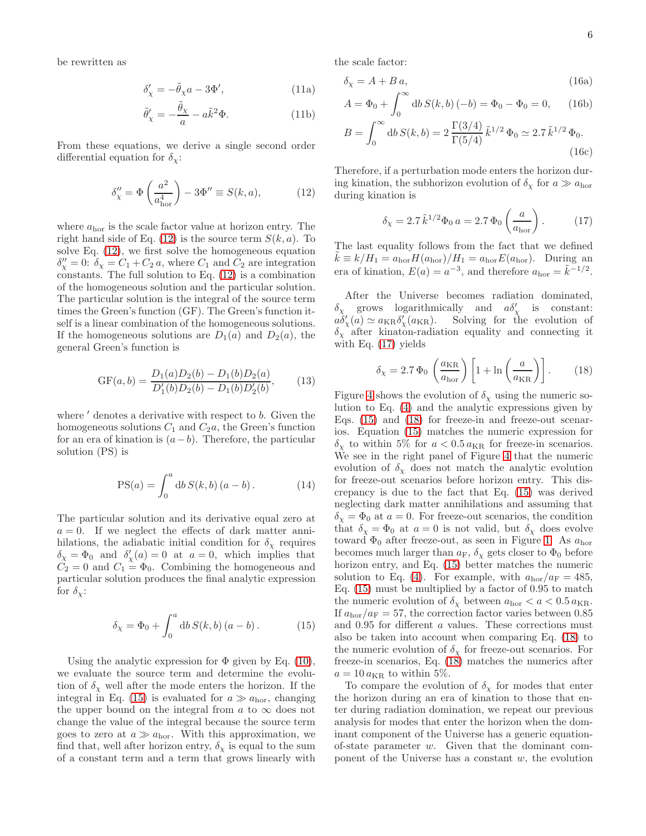be rewritten as

$$
\delta_{\chi}' = -\tilde{\theta}_{\chi} a - 3\Phi',\tag{11a}
$$

$$
\tilde{\theta}'_{\chi} = -\frac{\tilde{\theta}_{\chi}}{a} - a\tilde{k}^2 \Phi.
$$
 (11b)

From these equations, we derive a single second order differential equation for  $\delta_{\gamma}$ :

$$
\delta''_{\chi} = \Phi\left(\frac{a^2}{a_{\text{hor}}^4}\right) - 3\Phi'' \equiv S(k, a),\tag{12}
$$

where  $a_{\text{hor}}$  is the scale factor value at horizon entry. The right hand side of Eq.  $(12)$  is the source term  $S(k, a)$ . To solve Eq. [\(12\)](#page-5-0), we first solve the homogeneous equation  $\delta''_X = 0$ :  $\delta_X = C_1 + C_2 a$ , where  $C_1$  and  $C_2$  are integration constants. The full solution to Eq. [\(12\)](#page-5-0) is a combination of the homogeneous solution and the particular solution. The particular solution is the integral of the source term times the Green's function (GF). The Green's function itself is a linear combination of the homogeneous solutions. If the homogeneous solutions are  $D_1(a)$  and  $D_2(a)$ , the general Green's function is

$$
GF(a,b) = \frac{D_1(a)D_2(b) - D_1(b)D_2(a)}{D'_1(b)D_2(b) - D_1(b)D'_2(b)},
$$
 (13)

where  $\prime$  denotes a derivative with respect to b. Given the homogeneous solutions  $C_1$  and  $C_2a$ , the Green's function for an era of kination is  $(a-b)$ . Therefore, the particular solution (PS) is

$$
PS(a) = \int_0^a \mathrm{d}b \, S(k, b) \, (a - b) \,. \tag{14}
$$

The particular solution and its derivative equal zero at  $a = 0$ . If we neglect the effects of dark matter annihilations, the adiabatic initial condition for  $\delta_{\chi}$  requires  $\delta_{\chi} = \Phi_0$  and  $\delta'_{\chi}(a) = 0$  at  $a = 0$ , which implies that  $C_2 = 0$  and  $C_1 = \Phi_0$ . Combining the homogeneous and particular solution produces the final analytic expression for  $\delta_{\chi}$ :

$$
\delta_{\chi} = \Phi_0 + \int_0^a \mathrm{d}b \, S(k, b) \, (a - b) \,. \tag{15}
$$

Using the analytic expression for  $\Phi$  given by Eq. [\(10\)](#page-4-4), we evaluate the source term and determine the evolution of  $\delta_{\chi}$  well after the mode enters the horizon. If the integral in Eq. [\(15\)](#page-5-1) is evaluated for  $a \gg a_{\text{hor}}$ , changing the upper bound on the integral from a to  $\infty$  does not change the value of the integral because the source term goes to zero at  $a \gg a_{\text{hor}}$ . With this approximation, we find that, well after horizon entry,  $\delta_{\chi}$  is equal to the sum of a constant term and a term that grows linearly with

the scale factor:

$$
\delta_{\chi} = A + B a, \tag{16a}
$$

$$
A = \Phi_0 + \int_0^\infty \mathrm{d}b \, S(k, b) \, (-b) = \Phi_0 - \Phi_0 = 0,\qquad(16b)
$$

$$
B = \int_0^\infty \mathrm{d}b \, S(k, b) = 2 \frac{\Gamma(3/4)}{\Gamma(5/4)} \, \tilde{k}^{1/2} \, \Phi_0 \simeq 2.7 \, \tilde{k}^{1/2} \, \Phi_0. \tag{16c}
$$

<span id="page-5-0"></span>Therefore, if a perturbation mode enters the horizon during kination, the subhorizon evolution of  $\delta_{\chi}$  for  $a \gg a_{\text{hor}}$ during kination is

<span id="page-5-2"></span>
$$
\delta_{\chi} = 2.7 \,\tilde{k}^{1/2} \Phi_0 \, a = 2.7 \,\Phi_0 \left( \frac{a}{a_{\text{hor}}} \right). \tag{17}
$$

The last equality follows from the fact that we defined  $k \equiv k/H_1 = a_{\text{hor}}H(a_{\text{hor}})/H_1 = a_{\text{hor}}E(a_{\text{hor}})$ . During an era of kination,  $E(a) = a^{-3}$ , and therefore  $a_{\text{hor}} = \tilde{k}^{-1/2}$ .

After the Universe becomes radiation dominated,  $\delta_{\chi}$  grows logarithmically and  $a\delta'_{\chi}$  is constant:  $a\delta'_{\chi}(a) \simeq a_{\text{KR}}\delta'_{\chi}(a_{\text{KR}})$ . Solving for the evolution of  $\delta_{\chi}$  after kinaton-radiation equality and connecting it with Eq. [\(17\)](#page-5-2) yields

<span id="page-5-3"></span>
$$
\delta_{\chi} = 2.7 \, \Phi_0 \left( \frac{a_{\rm KR}}{a_{\rm hor}} \right) \left[ 1 + \ln \left( \frac{a}{a_{\rm KR}} \right) \right]. \tag{18}
$$

Figure [4](#page-6-0) shows the evolution of  $\delta_{\chi}$  using the numeric solution to Eq. [\(4\)](#page-2-0) and the analytic expressions given by Eqs. [\(15\)](#page-5-1) and [\(18\)](#page-5-3) for freeze-in and freeze-out scenarios. Equation [\(15\)](#page-5-1) matches the numeric expression for  $\delta_{\chi}$  to within 5% for  $a < 0.5 \alpha_{\rm KR}$  for freeze-in scenarios. We see in the right panel of Figure [4](#page-6-0) that the numeric evolution of  $\delta_{\chi}$  does not match the analytic evolution for freeze-out scenarios before horizon entry. This discrepancy is due to the fact that Eq. [\(15\)](#page-5-1) was derived neglecting dark matter annihilations and assuming that  $\delta_{\chi} = \Phi_0$  at  $a = 0$ . For freeze-out scenarios, the condition that  $\delta_{\chi} = \Phi_0$  at  $a = 0$  is not valid, but  $\delta_{\chi}$  does evolve toward  $\Phi_0$  after freeze-out, as seen in Figure [1.](#page-3-1) As  $a_{\text{hor}}$ becomes much larger than  $a_F$ ,  $\delta_\chi$  gets closer to  $\Phi_0$  before horizon entry, and Eq. [\(15\)](#page-5-1) better matches the numeric solution to Eq. [\(4\)](#page-2-0). For example, with  $a_{\rm hor}/a_{\rm F} = 485$ , Eq. [\(15\)](#page-5-1) must be multiplied by a factor of 0.95 to match the numeric evolution of  $\delta_{\chi}$  between  $a_{\rm hor} < a < 0.5 a_{\rm KR}$ . If  $a_{\rm hor}/a_F = 57$ , the correction factor varies between 0.85 and 0.95 for different a values. These corrections must also be taken into account when comparing Eq. [\(18\)](#page-5-3) to the numeric evolution of  $\delta_{\chi}$  for freeze-out scenarios. For freeze-in scenarios, Eq. [\(18\)](#page-5-3) matches the numerics after  $a = 10 a_{\text{KR}}$  to within 5%.

<span id="page-5-1"></span>To compare the evolution of  $\delta_{\chi}$  for modes that enter the horizon during an era of kination to those that enter during radiation domination, we repeat our previous analysis for modes that enter the horizon when the dominant component of the Universe has a generic equationof-state parameter  $w$ . Given that the dominant component of the Universe has a constant  $w$ , the evolution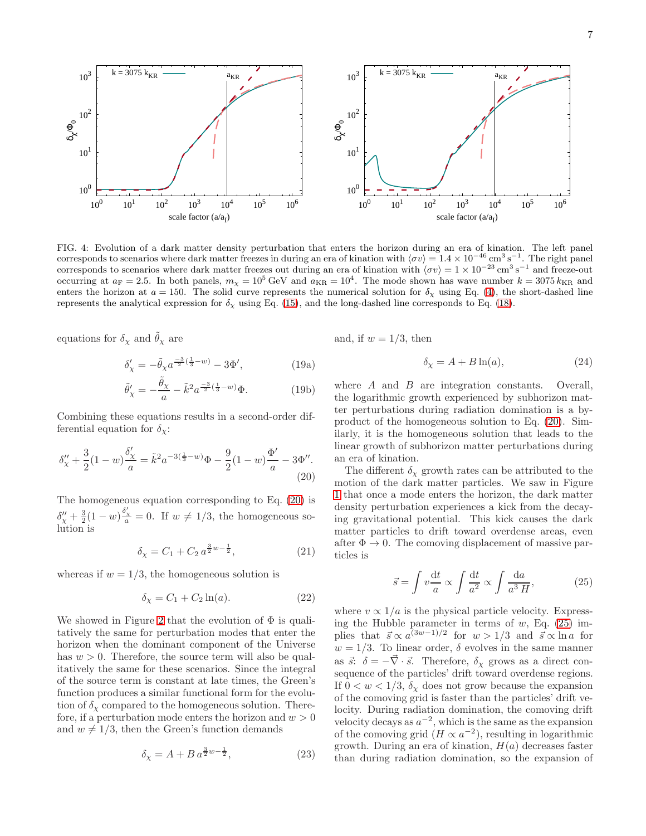

<span id="page-6-0"></span>FIG. 4: Evolution of a dark matter density perturbation that enters the horizon during an era of kination. The left panel corresponds to scenarios where dark matter freezes in during an era of kination with  $\langle \sigma v \rangle = 1.4 \times 10^{-46} \text{ cm}^3 \text{ s}^{-1}$ . The right panel corresponds to scenarios where dark matter freezes out during an era of kination with  $\langle \sigma v \rangle = 1 \times 10^{-23} \text{ cm}^3 \text{ s}^{-1}$  and freeze-out occurring at  $a_F = 2.5$ . In both panels,  $m_\chi = 10^5 \text{ GeV}$  and  $a_{KR} = 10^4$ . The mode shown has wave number  $k = 3075 k_{KR}$  and enters the horizon at  $a = 150$ . The solid curve represents the numerical solution for  $\delta_{\chi}$  using Eq. [\(4\)](#page-2-0), the short-dashed line represents the analytical expression for  $\delta_x$  using Eq. [\(15\)](#page-5-1), and the long-dashed line corresponds to Eq. [\(18\)](#page-5-3).

equations for  $\delta_{\chi}$  and  $\tilde{\theta}_{\chi}$  are

$$
\delta'_{\chi} = -\tilde{\theta}_{\chi} a^{\frac{-3}{2}(\frac{1}{3}-w)} - 3\Phi', \tag{19a}
$$

$$
\tilde{\theta}'_{\chi} = -\frac{\tilde{\theta}_{\chi}}{a} - \tilde{k}^2 a^{\frac{-3}{2}(\frac{1}{3} - w)} \Phi.
$$
 (19b)

Combining these equations results in a second-order differential equation for  $\delta_{\chi}$ :

$$
\delta''_{\chi} + \frac{3}{2}(1-w)\frac{\delta'_{\chi}}{a} = \tilde{k}^2 a^{-3(\frac{1}{3}-w)}\Phi - \frac{9}{2}(1-w)\frac{\Phi'}{a} - 3\Phi''.
$$
\n(20)

The homogeneous equation corresponding to Eq. [\(20\)](#page-6-1) is  $\delta''_x + \frac{3}{2}(1-w)\frac{\delta'_x}{a} = 0$ . If  $w \neq 1/3$ , the homogeneous solution is

$$
\delta_{\chi} = C_1 + C_2 a^{\frac{3}{2}w - \frac{1}{2}},\tag{21}
$$

whereas if  $w = 1/3$ , the homogeneous solution is

$$
\delta_{\chi} = C_1 + C_2 \ln(a). \tag{22}
$$

We showed in Figure [2](#page-4-2) that the evolution of  $\Phi$  is qualitatively the same for perturbation modes that enter the horizon when the dominant component of the Universe has  $w > 0$ . Therefore, the source term will also be qualitatively the same for these scenarios. Since the integral of the source term is constant at late times, the Green's function produces a similar functional form for the evolution of  $\delta_{\gamma}$  compared to the homogeneous solution. Therefore, if a perturbation mode enters the horizon and  $w > 0$ and  $w \neq 1/3$ , then the Green's function demands

$$
\delta_{\chi} = A + B a^{\frac{3}{2}w - \frac{1}{2}},\tag{23}
$$

and, if  $w = 1/3$ , then

$$
\delta_{\chi} = A + B \ln(a),\tag{24}
$$

where A and B are integration constants. Overall, the logarithmic growth experienced by subhorizon matter perturbations during radiation domination is a byproduct of the homogeneous solution to Eq. [\(20\)](#page-6-1). Similarly, it is the homogeneous solution that leads to the linear growth of subhorizon matter perturbations during an era of kination.

<span id="page-6-1"></span>The different  $\delta_{\chi}$  growth rates can be attributed to the motion of the dark matter particles. We saw in Figure [1](#page-3-1) that once a mode enters the horizon, the dark matter density perturbation experiences a kick from the decaying gravitational potential. This kick causes the dark matter particles to drift toward overdense areas, even after  $\Phi \to 0$ . The comoving displacement of massive particles is

<span id="page-6-2"></span>
$$
\vec{s} = \int v \frac{\mathrm{d}t}{a} \propto \int \frac{\mathrm{d}t}{a^2} \propto \int \frac{\mathrm{d}a}{a^3 H},\tag{25}
$$

where  $v \propto 1/a$  is the physical particle velocity. Expressing the Hubble parameter in terms of  $w$ , Eq.  $(25)$  implies that  $\vec{s} \propto a^{(3w-1)/2}$  for  $w > 1/3$  and  $\vec{s} \propto \ln a$  for  $w = 1/3$ . To linear order,  $\delta$  evolves in the same manner as  $\vec{s}$ :  $\delta = -\vec{\nabla} \cdot \vec{s}$ . Therefore,  $\delta_{\chi}$  grows as a direct consequence of the particles' drift toward overdense regions. If  $0 < w < 1/3$ ,  $\delta_{\chi}$  does not grow because the expansion of the comoving grid is faster than the particles' drift velocity. During radiation domination, the comoving drift velocity decays as  $a^{-2}$ , which is the same as the expansion of the comoving grid  $(H \propto a^{-2})$ , resulting in logarithmic growth. During an era of kination,  $H(a)$  decreases faster than during radiation domination, so the expansion of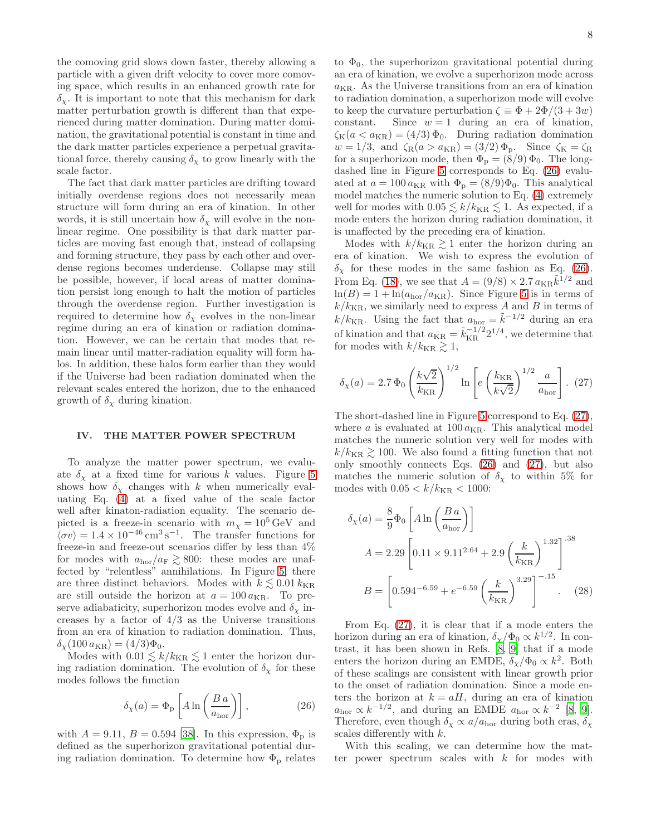the comoving grid slows down faster, thereby allowing a particle with a given drift velocity to cover more comoving space, which results in an enhanced growth rate for  $\delta_{\chi}$ . It is important to note that this mechanism for dark matter perturbation growth is different than that experienced during matter domination. During matter domination, the gravitational potential is constant in time and the dark matter particles experience a perpetual gravitational force, thereby causing  $\delta_{\chi}$  to grow linearly with the scale factor.

The fact that dark matter particles are drifting toward initially overdense regions does not necessarily mean structure will form during an era of kination. In other words, it is still uncertain how  $\delta_{\chi}$  will evolve in the nonlinear regime. One possibility is that dark matter particles are moving fast enough that, instead of collapsing and forming structure, they pass by each other and overdense regions becomes underdense. Collapse may still be possible, however, if local areas of matter domination persist long enough to halt the motion of particles through the overdense region. Further investigation is required to determine how  $\delta_{\chi}$  evolves in the non-linear regime during an era of kination or radiation domination. However, we can be certain that modes that remain linear until matter-radiation equality will form halos. In addition, these halos form earlier than they would if the Universe had been radiation dominated when the relevant scales entered the horizon, due to the enhanced growth of  $\delta_{\chi}$  during kination.

### <span id="page-7-0"></span>IV. THE MATTER POWER SPECTRUM

To analyze the matter power spectrum, we evaluate  $\delta_{\chi}$  at a fixed time for various k values. Figure [5](#page-8-1) shows how  $\delta_{\chi}$  changes with k when numerically evaluating Eq. [\(4\)](#page-2-0) at a fixed value of the scale factor well after kinaton-radiation equality. The scenario depicted is a freeze-in scenario with  $m<sub>x</sub> = 10<sup>5</sup>$  GeV and  $\langle \sigma v \rangle = 1.4 \times 10^{-46} \,\text{cm}^3\,\text{s}^{-1}$ . The transfer functions for freeze-in and freeze-out scenarios differ by less than 4% for modes with  $a_{\rm hor}/a_F \gtrsim 800$ : these modes are unaffected by "relentless" annihilations. In Figure [5,](#page-8-1) there are three distinct behaviors. Modes with  $k \lesssim 0.01 \, k_{\mathrm{KR}}$ are still outside the horizon at  $a = 100 \, a_{\text{KR}}$ . To preserve adiabaticity, superhorizon modes evolve and  $\delta_{\chi}$  increases by a factor of  $4/3$  as the Universe transitions from an era of kination to radiation domination. Thus,  $\delta_{\chi}(100 \, a_{\rm KR}) = (4/3)\Phi_0.$ 

Modes with  $0.01 \lesssim k/k_{\mathrm{KR}} \lesssim 1$  enter the horizon during radiation domination. The evolution of  $\delta_{\chi}$  for these modes follows the function

$$
\delta_{\chi}(a) = \Phi_{\rm p} \left[ A \ln \left( \frac{B \, a}{a_{\rm hor}} \right) \right],\tag{26}
$$

with  $A = 9.11$ ,  $B = 0.594$  [\[38](#page-11-22)]. In this expression,  $\Phi_{\rm p}$  is defined as the superhorizon gravitational potential during radiation domination. To determine how  $\Phi_{\rm p}$  relates

to  $\Phi_0$ , the superhorizon gravitational potential during an era of kination, we evolve a superhorizon mode across  $a_{\rm KR}$ . As the Universe transitions from an era of kination to radiation domination, a superhorizon mode will evolve to keep the curvature perturbation  $\zeta \equiv \Phi + 2\Phi/(3 + 3w)$ <br>constant. Since  $w = 1$  during an era of kination, Since  $w = 1$  during an era of kination,  $\zeta_{\rm K}(a < a_{\rm KR}) = (4/3) \Phi_0$ . During radiation domination  $w = 1/3$ , and  $\zeta_R(a > a_{KR}) = (3/2) \Phi_P$ . Since  $\zeta_K = \zeta_R$ for a superhorizon mode, then  $\Phi_{\rm p} = (8/9) \Phi_0$ . The longdashed line in Figure [5](#page-8-1) corresponds to Eq. [\(26\)](#page-7-1) evaluated at  $a = 100 a_{\text{KR}}$  with  $\Phi_{\text{p}} = (8/9)\Phi_{0}$ . This analytical model matches the numeric solution to Eq. [\(4\)](#page-2-0) extremely well for modes with  $0.05 \le k/k_{\text{KR}} \le 1$ . As expected, if a mode enters the horizon during radiation domination, it is unaffected by the preceding era of kination.

Modes with  $k/k_{\text{KR}} \gtrsim 1$  enter the horizon during an era of kination. We wish to express the evolution of  $\delta_{\chi}$  for these modes in the same fashion as Eq. [\(26\)](#page-7-1). From Eq. [\(18\)](#page-5-3), we see that  $A = (9/8) \times 2.7 a_{\text{KR}} \tilde{k}^{1/2}$  and  $ln(B) = 1 + ln(a_{hor}/a_{KR})$ . Since Figure [5](#page-8-1) is in terms of  $k/k_{\text{KR}}$ , we similarly need to express A and B in terms of  $k/k_{\text{KR}}$ . Using the fact that  $a_{\text{hor}} = \tilde{k}^{-1/2}$  during an era of kination and that  $a_{\text{KR}} = \tilde{k}_{\text{KR}}^{-1/2} 2^{1/4}$ , we determine that for modes with  $k/k_{\text{KR}} \gtrsim 1$ ,

<span id="page-7-2"></span>
$$
\delta_{\chi}(a) = 2.7 \, \Phi_0 \left(\frac{k\sqrt{2}}{k_{\rm KR}}\right)^{1/2} \ln\left[e\left(\frac{k_{\rm KR}}{k\sqrt{2}}\right)^{1/2} \frac{a}{a_{\rm hor}}\right]. \tag{27}
$$

The short-dashed line in Figure [5](#page-8-1) correspond to Eq. [\(27\)](#page-7-2), where  $a$  is evaluated at  $100 a_{\text{KR}}$ . This analytical model matches the numeric solution very well for modes with  $k/k_{\text{KR}} \gtrsim 100$ . We also found a fitting function that not only smoothly connects Eqs. [\(26\)](#page-7-1) and [\(27\)](#page-7-2), but also matches the numeric solution of  $\delta_{\gamma}$  to within 5% for modes with  $0.05 < k/k_{\rm KR} < 1000$ :

$$
\delta_{\chi}(a) = \frac{8}{9} \Phi_0 \left[ A \ln \left( \frac{B a}{a_{\text{hor}}} \right) \right]
$$
  

$$
A = 2.29 \left[ 0.11 \times 9.11^{2.64} + 2.9 \left( \frac{k}{k_{\text{KR}}} \right)^{1.32} \right]^{-38}
$$
  

$$
B = \left[ 0.594^{-6.59} + e^{-6.59} \left( \frac{k}{k_{\text{KR}}} \right)^{3.29} \right]^{-.15} .
$$
 (28)

From Eq. [\(27\)](#page-7-2), it is clear that if a mode enters the horizon during an era of kination,  $\delta_{\chi}/\Phi_0 \propto k^{1/2}$ . In contrast, it has been shown in Refs. [\[8](#page-11-4), [9](#page-11-5)] that if a mode enters the horizon during an EMDE,  $\delta_{\chi}/\Phi_0 \propto k^2$ . Both of these scalings are consistent with linear growth prior to the onset of radiation domination. Since a mode enters the horizon at  $k = aH$ , during an era of kination  $a_{\text{hor}} \propto k^{-1/2}$ , and during an EMDE  $a_{\text{hor}} \propto k^{-2}$  [\[8,](#page-11-4) [9\]](#page-11-5). Therefore, even though  $\delta_{\chi} \propto a/a_{\text{hor}}$  during both eras,  $\delta_{\chi}$ scales differently with k.

<span id="page-7-1"></span>With this scaling, we can determine how the matter power spectrum scales with  $k$  for modes with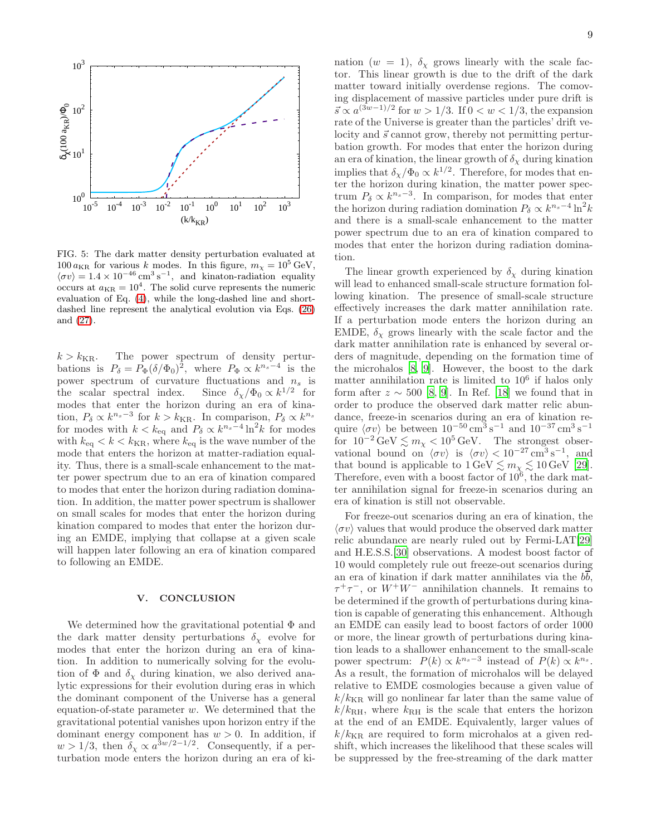

<span id="page-8-1"></span>FIG. 5: The dark matter density perturbation evaluated at  $100 a_{\text{KR}}$  for various k modes. In this figure,  $m_{\chi} = 10^5 \text{ GeV}$ ,  $\langle \sigma v \rangle = 1.4 \times 10^{-46}$  cm<sup>3</sup> s<sup>-1</sup>, and kinaton-radiation equality occurs at  $a_{\text{KR}} = 10^4$ . The solid curve represents the numeric evaluation of Eq. [\(4\)](#page-2-0), while the long-dashed line and shortdashed line represent the analytical evolution via Eqs. [\(26\)](#page-7-1) and [\(27\)](#page-7-2).

 $k > k_{\text{KR}}$ . The power spectrum of density perturbations is  $P_{\delta} = P_{\Phi} (\delta / \Phi_0)^2$ , where  $P_{\Phi} \propto k^{n_s-4}$  is the power spectrum of curvature fluctuations and  $n_s$  is the scalar spectral index.  $\frac{1}{2}$  for modes that enter the horizon during an era of kination,  $P_{\delta} \propto k^{n_s-3}$  for  $k > k_{\text{KR}}$ . In comparison,  $P_{\delta} \propto k^{n_s}$ for modes with  $k < k_{\text{eq}}$  and  $P_{\delta} \propto k^{n_s-4} \ln^2 k$  for modes with  $k_{\text{eq}} < k < k_{\text{KR}}$ , where  $k_{\text{eq}}$  is the wave number of the mode that enters the horizon at matter-radiation equality. Thus, there is a small-scale enhancement to the matter power spectrum due to an era of kination compared to modes that enter the horizon during radiation domination. In addition, the matter power spectrum is shallower on small scales for modes that enter the horizon during kination compared to modes that enter the horizon during an EMDE, implying that collapse at a given scale will happen later following an era of kination compared to following an EMDE.

## <span id="page-8-0"></span>V. CONCLUSION

We determined how the gravitational potential  $\Phi$  and the dark matter density perturbations  $\delta_{\chi}$  evolve for modes that enter the horizon during an era of kination. In addition to numerically solving for the evolution of  $\Phi$  and  $\delta_{\chi}$  during kination, we also derived analytic expressions for their evolution during eras in which the dominant component of the Universe has a general equation-of-state parameter  $w$ . We determined that the gravitational potential vanishes upon horizon entry if the dominant energy component has  $w > 0$ . In addition, if  $w > 1/3$ , then  $\delta_{\chi} \propto a^{3w/2-1/2}$ . Consequently, if a perturbation mode enters the horizon during an era of ki-

nation ( $w = 1$ ),  $\delta_{\chi}$  grows linearly with the scale factor. This linear growth is due to the drift of the dark matter toward initially overdense regions. The comoving displacement of massive particles under pure drift is  $\vec{s} \propto a^{(3w-1)/2}$  for  $w > 1/3$ . If  $0 < w < 1/3$ , the expansion rate of the Universe is greater than the particles' drift velocity and  $\vec{s}$  cannot grow, thereby not permitting perturbation growth. For modes that enter the horizon during an era of kination, the linear growth of  $\delta_{\chi}$  during kination implies that  $\delta_{\chi}/\Phi_0 \propto k^{1/2}$ . Therefore, for modes that enter the horizon during kination, the matter power spectrum  $P_\delta \propto k^{n_s-3}$ . In comparison, for modes that enter the horizon during radiation domination  $P_\delta \propto k^{n_s-4} \ln^2 k$ and there is a small-scale enhancement to the matter power spectrum due to an era of kination compared to modes that enter the horizon during radiation domination.

The linear growth experienced by  $\delta_{\chi}$  during kination will lead to enhanced small-scale structure formation following kination. The presence of small-scale structure effectively increases the dark matter annihilation rate. If a perturbation mode enters the horizon during an EMDE,  $\delta_{\chi}$  grows linearly with the scale factor and the dark matter annihilation rate is enhanced by several orders of magnitude, depending on the formation time of the microhalos [\[8](#page-11-4), [9](#page-11-5)]. However, the boost to the dark matter annihilation rate is limited to  $10<sup>6</sup>$  if halos only form after  $z \sim 500$  [\[8,](#page-11-4) [9](#page-11-5)]. In Ref. [\[18\]](#page-11-11) we found that in order to produce the observed dark matter relic abundance, freeze-in scenarios during an era of kination require  $\langle \sigma v \rangle$  be between  $10^{-50} \text{ cm}^3 \text{ s}^{-1}$  and  $10^{-37} \text{ cm}^3 \text{ s}^{-1}$ for  $10^{-2} \text{GeV} \lesssim m_{\chi} < 10^5 \text{GeV}$ . The strongest observational bound on  $\langle \sigma v \rangle$  is  $\langle \sigma v \rangle < 10^{-27} \text{ cm}^3 \text{ s}^{-1}$ , and that bound is applicable to  $1 \,\text{GeV} \lesssim m_{\chi} \lesssim 10 \,\text{GeV}$  [\[29\]](#page-11-14). Therefore, even with a boost factor of  $10^6$ , the dark matter annihilation signal for freeze-in scenarios during an era of kination is still not observable.

For freeze-out scenarios during an era of kination, the  $\langle \sigma v \rangle$  values that would produce the observed dark matter relic abundance are nearly ruled out by Fermi-LAT[\[29](#page-11-14)] and H.E.S.S.[\[30\]](#page-11-15) observations. A modest boost factor of 10 would completely rule out freeze-out scenarios during an era of kination if dark matter annihilates via the  $b\overline{b}$ ,  $\tau^+\tau^-$ , or  $W^+W^-$  annihilation channels. It remains to be determined if the growth of perturbations during kination is capable of generating this enhancement. Although an EMDE can easily lead to boost factors of order 1000 or more, the linear growth of perturbations during kination leads to a shallower enhancement to the small-scale power spectrum:  $P(k) \propto k^{n_s-3}$  instead of  $P(k) \propto k^{n_s}$ . As a result, the formation of microhalos will be delayed relative to EMDE cosmologies because a given value of  $k/k_{\text{KR}}$  will go nonlinear far later than the same value of  $k/k_{\text{RH}}$ , where  $k_{\text{RH}}$  is the scale that enters the horizon at the end of an EMDE. Equivalently, larger values of  $k/k_{\text{KR}}$  are required to form microhalos at a given redshift, which increases the likelihood that these scales will be suppressed by the free-streaming of the dark matter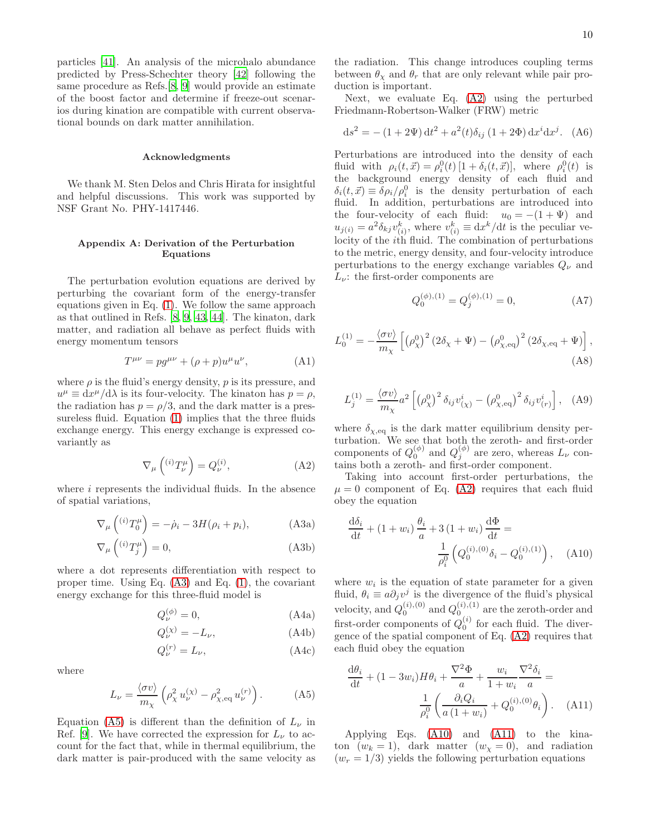particles [\[41\]](#page-11-25). An analysis of the microhalo abundance predicted by Press-Schechter theory [\[42\]](#page-11-26) following the same procedure as Refs.[\[8,](#page-11-4) [9\]](#page-11-5) would provide an estimate of the boost factor and determine if freeze-out scenarios during kination are compatible with current observational bounds on dark matter annihilation.

#### Acknowledgments

We thank M. Sten Delos and Chris Hirata for insightful and helpful discussions. This work was supported by NSF Grant No. PHY-1417446.

# <span id="page-9-0"></span>Appendix A: Derivation of the Perturbation Equations

The perturbation evolution equations are derived by perturbing the covariant form of the energy-transfer equations given in Eq. [\(1\)](#page-1-3). We follow the same approach as that outlined in Refs. [\[8,](#page-11-4) [9,](#page-11-5) [43](#page-11-27), [44\]](#page-12-0). The kinaton, dark matter, and radiation all behave as perfect fluids with energy momentum tensors

$$
T^{\mu\nu} = pg^{\mu\nu} + (\rho + p)u^{\mu}u^{\nu}, \tag{A1}
$$

where  $\rho$  is the fluid's energy density,  $p$  is its pressure, and  $u^{\mu} \equiv dx^{\mu}/d\lambda$  is its four-velocity. The kinaton has  $p = \rho$ , the radiation has  $p = \rho/3$ , and the dark matter is a pressureless fluid. Equation [\(1\)](#page-1-3) implies that the three fluids exchange energy. This energy exchange is expressed covariantly as

$$
\nabla_{\mu} \left( {}^{(i)}T^{\mu}_{\nu} \right) = Q_{\nu}^{(i)}, \tag{A2}
$$

where  $i$  represents the individual fluids. In the absence of spatial variations,

$$
\nabla_{\mu}\left({}^{(i)}T_{0}^{\mu}\right) = -\dot{\rho}_{i} - 3H(\rho_{i} + p_{i}),\tag{A3a}
$$

$$
\nabla_{\mu}\left(^{(i)}T_{j}^{\mu}\right) = 0,\tag{A3b}
$$

where a dot represents differentiation with respect to proper time. Using Eq. [\(A3\)](#page-9-2) and Eq. [\(1\)](#page-1-3), the covariant energy exchange for this three-fluid model is

$$
Q_{\nu}^{(\phi)} = 0,\t\t(A4a)
$$

$$
Q_{\nu}^{(\chi)} = -L_{\nu},\tag{A4b}
$$

$$
Q_{\nu}^{(r)} = L_{\nu},\tag{A4c}
$$

where

$$
L_{\nu} = \frac{\langle \sigma v \rangle}{m_{\chi}} \left( \rho_{\chi}^2 u_{\nu}^{(\chi)} - \rho_{\chi, \text{eq}}^2 u_{\nu}^{(r)} \right). \tag{A5}
$$

Equation [\(A5\)](#page-9-3) is different than the definition of  $L_{\nu}$  in Ref. [\[9\]](#page-11-5). We have corrected the expression for  $L_{\nu}$  to account for the fact that, while in thermal equilibrium, the dark matter is pair-produced with the same velocity as the radiation. This change introduces coupling terms between  $\theta_{\chi}$  and  $\theta_{r}$  that are only relevant while pair production is important.

Next, we evaluate Eq. [\(A2\)](#page-9-4) using the perturbed Friedmann-Robertson-Walker (FRW) metric

<span id="page-9-1"></span>
$$
ds^{2} = -(1+2\Psi) dt^{2} + a^{2}(t)\delta_{ij} (1+2\Phi) dx^{i} dx^{j}. (A6)
$$

Perturbations are introduced into the density of each fluid with  $\rho_i(t, \vec{x}) = \rho_i^0(t) [1 + \delta_i(t, \vec{x})],$  where  $\rho_i^0(t)$  is the background energy density of each fluid and  $\delta_i(t, \vec{x}) \equiv \delta \rho_i / \rho_i^0$  is the density perturbation of each fluid. In addition, perturbations are introduced into the four-velocity of each fluid:  $u_0 = -(1 + \Psi)$  and  $u_{j(i)} = a^2 \delta_{kj} v_{(i)}^k$ , where  $v_{(i)}^k \equiv dx^k/dt$  is the peculiar velocity of the ith fluid. The combination of perturbations to the metric, energy density, and four-velocity introduce perturbations to the energy exchange variables  $Q_{\nu}$  and  $L_{\nu}$ : the first-order components are

$$
Q_0^{(\phi),(1)} = Q_j^{(\phi),(1)} = 0,
$$
 (A7)

$$
L_0^{(1)} = -\frac{\langle \sigma v \rangle}{m_\chi} \left[ \left( \rho_\chi^0 \right)^2 (2\delta_\chi + \Psi) - \left( \rho_{\chi,\text{eq}}^0 \right)^2 (2\delta_{\chi,\text{eq}} + \Psi) \right],\tag{A8}
$$

$$
L_j^{(1)} = \frac{\langle \sigma v \rangle}{m_\chi} a^2 \left[ \left( \rho_\chi^0 \right)^2 \delta_{ij} v_{(\chi)}^i - \left( \rho_{\chi, \text{eq}}^0 \right)^2 \delta_{ij} v_{(r)}^i \right], \quad \text{(A9)}
$$

where  $\delta_{\chi,\text{eq}}$  is the dark matter equilibrium density perturbation. We see that both the zeroth- and first-order components of  $Q_0^{(\phi)}$  and  $Q_j^{(\phi)}$  $j^{(\varphi)}$  are zero, whereas  $L_{\nu}$  contains both a zeroth- and first-order component.

<span id="page-9-4"></span>Taking into account first-order perturbations, the  $\mu = 0$  component of Eq. [\(A2\)](#page-9-4) requires that each fluid obey the equation

<span id="page-9-5"></span>
$$
\frac{d\delta_i}{dt} + (1 + w_i) \frac{\theta_i}{a} + 3 (1 + w_i) \frac{d\Phi}{dt} =
$$
\n
$$
\frac{1}{\rho_i^0} \left( Q_0^{(i), (0)} \delta_i - Q_0^{(i), (1)} \right), \quad \text{(A10)}
$$

<span id="page-9-2"></span>where  $w_i$  is the equation of state parameter for a given fluid,  $\theta_i \equiv a \partial_j v^j$  is the divergence of the fluid's physical velocity, and  $Q_0^{(i),(0)}$  and  $Q_0^{(i),(1)}$  are the zeroth-order and first-order components of  $Q_0^{(i)}$  for each fluid. The divergence of the spatial component of Eq. [\(A2\)](#page-9-4) requires that each fluid obey the equation

<span id="page-9-6"></span>
$$
\frac{d\theta_i}{dt} + (1 - 3w_i)H\theta_i + \frac{\nabla^2 \Phi}{a} + \frac{w_i}{1 + w_i} \frac{\nabla^2 \delta_i}{a} =
$$

$$
\frac{1}{\rho_i^0} \left( \frac{\partial_i Q_i}{a(1 + w_i)} + Q_0^{(i),(0)} \theta_i \right). \quad (A11)
$$

<span id="page-9-3"></span>Applying Eqs. [\(A10\)](#page-9-5) and [\(A11\)](#page-9-6) to the kinaton  $(w_k = 1)$ , dark matter  $(w_\gamma = 0)$ , and radiation  $(w_r = 1/3)$  yields the following perturbation equations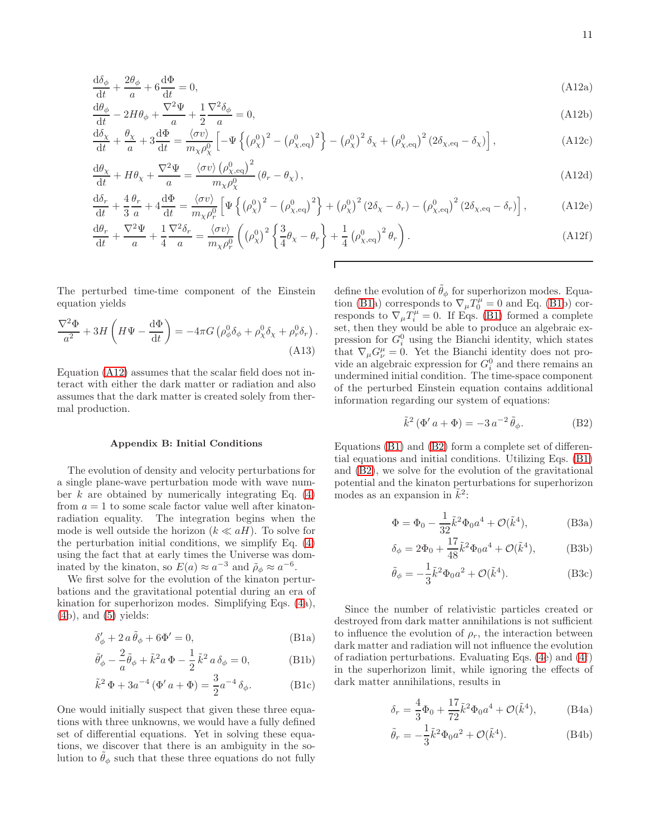$$
\frac{d\delta_{\phi}}{dt} + \frac{2\theta_{\phi}}{a} + 6\frac{d\Phi}{dt} = 0,\tag{A12a}
$$

$$
\frac{d\theta_{\phi}}{dt} - 2H\theta_{\phi} + \frac{\nabla^2 \Psi}{a} + \frac{1}{2} \frac{\nabla^2 \delta_{\phi}}{a} = 0,
$$
\n(A12b)

$$
\frac{d\delta_{\chi}}{dt} + \frac{\theta_{\chi}}{a} + 3\frac{d\Phi}{dt} = \frac{\langle \sigma v \rangle}{m_{\chi}\rho_{\chi}^{0}} \left[ -\Psi \left\{ \left( \rho_{\chi}^{0} \right)^{2} - \left( \rho_{\chi,eq}^{0} \right)^{2} \right\} - \left( \rho_{\chi}^{0} \right)^{2} \delta_{\chi} + \left( \rho_{\chi,eq}^{0} \right)^{2} \left( 2\delta_{\chi,eq} - \delta_{\chi} \right) \right],
$$
\n(A12c)

$$
\frac{\mathrm{d}\theta_{\chi}}{\mathrm{d}t} + H\theta_{\chi} + \frac{\nabla^2 \Psi}{a} = \frac{\langle \sigma v \rangle \left( \rho_{\chi,\text{eq}}^0 \right)^2}{m_{\chi} \rho_{\chi}^0} \left( \theta_r - \theta_{\chi} \right),\tag{A12d}
$$

$$
\frac{\mathrm{d}\delta_r}{\mathrm{d}t} + \frac{4}{3}\frac{\theta_r}{a} + 4\frac{\mathrm{d}\Phi}{\mathrm{d}t} = \frac{\langle\sigma v\rangle}{m_\chi \rho_r^0} \left[ \Psi \left\{ \left(\rho_\chi^0\right)^2 - \left(\rho_{\chi,\text{eq}}^0\right)^2 \right\} + \left(\rho_\chi^0\right)^2 (2\delta_\chi - \delta_r) - \left(\rho_{\chi,\text{eq}}^0\right)^2 (2\delta_{\chi,\text{eq}} - \delta_r) \right],\tag{A12e}
$$

$$
\frac{\mathrm{d}\theta_r}{\mathrm{d}t} + \frac{\nabla^2 \Psi}{a} + \frac{1}{4} \frac{\nabla^2 \delta_r}{a} = \frac{\langle \sigma v \rangle}{m_\chi \rho_r^0} \left( (\rho_\chi^0)^2 \left\{ \frac{3}{4} \theta_\chi - \theta_r \right\} + \frac{1}{4} (\rho_{\chi,\text{eq}}^0)^2 \theta_r \right). \tag{A12f}
$$

The perturbed time-time component of the Einstein equation yields

$$
\frac{\nabla^2 \Phi}{a^2} + 3H \left( H \Psi - \frac{\mathrm{d}\Phi}{\mathrm{d}t} \right) = -4\pi G \left( \rho_\phi^0 \delta_\phi + \rho_\chi^0 \delta_\chi + \rho_r^0 \delta_r \right). \tag{A13}
$$

Equation [\(A12\)](#page-10-1) assumes that the scalar field does not interact with either the dark matter or radiation and also assumes that the dark matter is created solely from thermal production.

#### <span id="page-10-0"></span>Appendix B: Initial Conditions

The evolution of density and velocity perturbations for a single plane-wave perturbation mode with wave number k are obtained by numerically integrating Eq.  $(4)$ from  $a = 1$  to some scale factor value well after kinatonradiation equality. The integration begins when the mode is well outside the horizon  $(k \ll aH)$ . To solve for the perturbation initial conditions, we simplify Eq. [\(4\)](#page-2-0) using the fact that at early times the Universe was dominated by the kinaton, so  $E(a) \approx a^{-3}$  and  $\tilde{\rho}_{\phi} \approx a^{-6}$ .

We first solve for the evolution of the kinaton perturbations and the gravitational potential during an era of kination for superhorizon modes. Simplifying Eqs. [\(4a](#page-2-0)),  $(4b)$  $(4b)$ , and  $(5)$  yields:

$$
\delta'_{\phi} + 2 a \tilde{\theta}_{\phi} + 6\Phi' = 0, \qquad (B1a)
$$

$$
\tilde{\theta}'_{\phi} - \frac{2}{a}\tilde{\theta}_{\phi} + \tilde{k}^2 a \Phi - \frac{1}{2}\tilde{k}^2 a \delta_{\phi} = 0, \qquad (B1b)
$$

$$
\tilde{k}^2 \Phi + 3a^{-4} (\Phi' a + \Phi) = \frac{3}{2} a^{-4} \delta_{\phi}.
$$
 (B1c)

One would initially suspect that given these three equations with three unknowns, we would have a fully defined set of differential equations. Yet in solving these equations, we discover that there is an ambiguity in the solution to  $\ddot{\theta}_{\phi}$  such that these three equations do not fully

<span id="page-10-1"></span>define the evolution of  $\tilde{\theta}_{\phi}$  for superhorizon modes. Equa-tion [\(B1a](#page-10-2)) corresponds to  $\nabla_{\mu}T_0^{\mu}=0$  and Eq. [\(B1b](#page-10-2)) corresponds to  $\nabla_{\mu}T_i^{\mu}=0$ . If Eqs. [\(B1\)](#page-10-2) formed a complete set, then they would be able to produce an algebraic expression for  $G_i^0$  using the Bianchi identity, which states that  $\nabla_{\mu} G^{\mu}_{\nu} = 0$ . Yet the Bianchi identity does not provide an algebraic expression for  $G_i^0$  and there remains an undermined initial condition. The time-space component of the perturbed Einstein equation contains additional information regarding our system of equations:

<span id="page-10-3"></span>
$$
\tilde{k}^2 (\Phi' a + \Phi) = -3 a^{-2} \tilde{\theta}_\phi.
$$
 (B2)

Equations [\(B1\)](#page-10-2) and [\(B2\)](#page-10-3) form a complete set of differential equations and initial conditions. Utilizing Eqs. [\(B1\)](#page-10-2) and [\(B2\)](#page-10-3), we solve for the evolution of the gravitational potential and the kinaton perturbations for superhorizon modes as an expansion in  $\tilde{k}^2$ :

$$
\Phi = \Phi_0 - \frac{1}{32} \tilde{k}^2 \Phi_0 a^4 + \mathcal{O}(\tilde{k}^4),
$$
 (B3a)

$$
\delta_{\phi} = 2\Phi_0 + \frac{17}{48}\tilde{k}^2\Phi_0 a^4 + \mathcal{O}(\tilde{k}^4), \quad (B3b)
$$

<span id="page-10-4"></span>
$$
\tilde{\theta}_{\phi} = -\frac{1}{3}\tilde{k}^2 \Phi_0 a^2 + \mathcal{O}(\tilde{k}^4). \tag{B3c}
$$

<span id="page-10-2"></span>Since the number of relativistic particles created or destroyed from dark matter annihilations is not sufficient to influence the evolution of  $\rho_r$ , the interaction between dark matter and radiation will not influence the evolution of radiation perturbations. Evaluating Eqs. [\(4e](#page-2-0)) and [\(4f](#page-2-0)) in the superhorizon limit, while ignoring the effects of dark matter annihilations, results in

$$
\delta_r = \frac{4}{3}\Phi_0 + \frac{17}{72}\tilde{k}^2\Phi_0 a^4 + \mathcal{O}(\tilde{k}^4), \quad \text{(B4a)}
$$

<span id="page-10-5"></span>
$$
\tilde{\theta}_r = -\frac{1}{3}\tilde{k}^2\Phi_0 a^2 + \mathcal{O}(\tilde{k}^4). \tag{B4b}
$$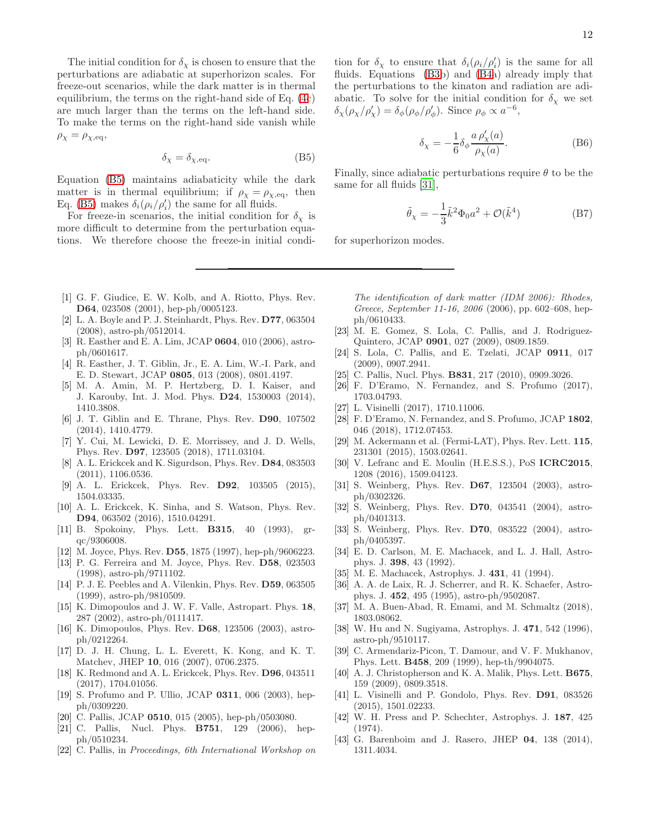The initial condition for  $\delta_{\chi}$  is chosen to ensure that the perturbations are adiabatic at superhorizon scales. For freeze-out scenarios, while the dark matter is in thermal equilibrium, the terms on the right-hand side of Eq. [\(4c](#page-2-0)) are much larger than the terms on the left-hand side. To make the terms on the right-hand side vanish while  $\rho_{\chi} = \rho_{\chi,\text{eq}},$ 

$$
\delta_{\chi} = \delta_{\chi, \text{eq}}.\tag{B5}
$$

Equation [\(B5\)](#page-11-28) maintains adiabaticity while the dark matter is in thermal equilibrium; if  $\rho_{\chi} = \rho_{\chi, \text{eq}}$ , then Eq. [\(B5\)](#page-11-28) makes  $\delta_i(\rho_i/\rho'_i)$  the same for all fluids.

For freeze-in scenarios, the initial condition for  $\delta_{\gamma}$  is more difficult to determine from the perturbation equations. We therefore choose the freeze-in initial condi12

tion for  $\delta_{\chi}$  to ensure that  $\delta_i(\rho_i/\rho'_i)$  is the same for all fluids. Equations [\(B3b](#page-10-4)) and [\(B4a](#page-10-5)) already imply that the perturbations to the kinaton and radiation are adiabatic. To solve for the initial condition for  $\delta_{\chi}$  we set  $\delta_{\chi}(\rho_{\chi}/\rho'_{\chi}) = \delta_{\phi}(\rho_{\phi}/\rho'_{\phi})$ . Since  $\rho_{\phi} \propto a^{-6}$ ,

$$
\delta_{\chi} = -\frac{1}{6} \delta_{\phi} \frac{a \,\rho'_{\chi}(a)}{\rho_{\chi}(a)}.
$$
 (B6)

<span id="page-11-28"></span>Finally, since adiabatic perturbations require  $\theta$  to be the same for all fluids [\[31\]](#page-11-17),

$$
\tilde{\theta}_{\chi} = -\frac{1}{3}\tilde{k}^2 \Phi_0 a^2 + \mathcal{O}(\tilde{k}^4)
$$
 (B7)

for superhorizon modes.

- <span id="page-11-0"></span>[1] G. F. Giudice, E. W. Kolb, and A. Riotto, Phys. Rev. D64, 023508 (2001), hep-ph/0005123.
- <span id="page-11-1"></span>[2] L. A. Boyle and P. J. Steinhardt, Phys. Rev. D77, 063504 (2008), astro-ph/0512014.
- [3] R. Easther and E. A. Lim, JCAP 0604, 010 (2006), astroph/0601617.
- [4] R. Easther, J. T. Giblin, Jr., E. A. Lim, W.-I. Park, and E. D. Stewart, JCAP 0805, 013 (2008), 0801.4197.
- [5] M. A. Amin, M. P. Hertzberg, D. I. Kaiser, and J. Karouby, Int. J. Mod. Phys. D24, 1530003 (2014), 1410.3808.
- <span id="page-11-2"></span>[6] J. T. Giblin and E. Thrane, Phys. Rev. D90, 107502 (2014), 1410.4779.
- <span id="page-11-3"></span>[7] Y. Cui, M. Lewicki, D. E. Morrissey, and J. D. Wells, Phys. Rev. D97, 123505 (2018), 1711.03104.
- <span id="page-11-4"></span>[8] A. L. Erickcek and K. Sigurdson, Phys. Rev. D84, 083503 (2011), 1106.0536.
- <span id="page-11-5"></span>[9] A. L. Erickcek, Phys. Rev. D92, 103505 (2015), 1504.03335.
- <span id="page-11-6"></span>[10] A. L. Erickcek, K. Sinha, and S. Watson, Phys. Rev. D94, 063502 (2016), 1510.04291.
- <span id="page-11-7"></span>[11] B. Spokoiny, Phys. Lett. B315, 40 (1993), grqc/9306008.
- <span id="page-11-9"></span>[12] M. Joyce, Phys. Rev. D55, 1875 (1997), hep-ph/9606223.
- <span id="page-11-8"></span>[13] P. G. Ferreira and M. Joyce, Phys. Rev. D58, 023503 (1998), astro-ph/9711102.
- [14] P. J. E. Peebles and A. Vilenkin, Phys. Rev. D59, 063505 (1999), astro-ph/9810509.
- [15] K. Dimopoulos and J. W. F. Valle, Astropart. Phys. 18, 287 (2002), astro-ph/0111417.
- [16] K. Dimopoulos, Phys. Rev. D68, 123506 (2003), astroph/0212264.
- <span id="page-11-10"></span>[17] D. J. H. Chung, L. L. Everett, K. Kong, and K. T. Matchev, JHEP 10, 016 (2007), 0706.2375.
- <span id="page-11-11"></span>[18] K. Redmond and A. L. Erickcek, Phys. Rev. D96, 043511 (2017), 1704.01056.
- <span id="page-11-12"></span>[19] S. Profumo and P. Ullio, JCAP 0311, 006 (2003), hepph/0309220.
- [20] C. Pallis, JCAP 0510, 015 (2005), hep-ph/0503080.
- [21] C. Pallis, Nucl. Phys. B751, 129 (2006), hepph/0510234.
- [22] C. Pallis, in Proceedings, 6th International Workshop on

The identification of dark matter (IDM 2006): Rhodes, Greece, September 11-16, 2006 (2006), pp. 602–608, hepph/0610433.

- [23] M. E. Gomez, S. Lola, C. Pallis, and J. Rodriguez-Quintero, JCAP 0901, 027 (2009), 0809.1859.
- [24] S. Lola, C. Pallis, and E. Tzelati, JCAP 0911, 017 (2009), 0907.2941.
- [25] C. Pallis, Nucl. Phys. **B831**, 217 (2010), 0909.3026.
- <span id="page-11-16"></span>[26] F. D'Eramo, N. Fernandez, and S. Profumo (2017), 1703.04793.
- [27] L. Visinelli (2017), 1710.11006.
- <span id="page-11-13"></span>[28] F. D'Eramo, N. Fernandez, and S. Profumo, JCAP 1802, 046 (2018), 1712.07453.
- <span id="page-11-14"></span>[29] M. Ackermann et al. (Fermi-LAT), Phys. Rev. Lett. 115, 231301 (2015), 1503.02641.
- <span id="page-11-15"></span>[30] V. Lefranc and E. Moulin (H.E.S.S.), PoS ICRC2015, 1208 (2016), 1509.04123.
- <span id="page-11-17"></span>[31] S. Weinberg, Phys. Rev. D67, 123504 (2003), astroph/0302326.
- <span id="page-11-21"></span>[32] S. Weinberg, Phys. Rev. D70, 043541 (2004), astroph/0401313.
- <span id="page-11-18"></span>[33] S. Weinberg, Phys. Rev. **D70**, 083522 (2004), astroph/0405397.
- <span id="page-11-19"></span>[34] E. D. Carlson, M. E. Machacek, and L. J. Hall, Astrophys. J. 398, 43 (1992).
- [35] M. E. Machacek, Astrophys. J. 431, 41 (1994).
- [36] A. A. de Laix, R. J. Scherrer, and R. K. Schaefer, Astrophys. J. 452, 495 (1995), astro-ph/9502087.
- <span id="page-11-20"></span>[37] M. A. Buen-Abad, R. Emami, and M. Schmaltz (2018), 1803.08062.
- <span id="page-11-22"></span>[38] W. Hu and N. Sugiyama, Astrophys. J. 471, 542 (1996), astro-ph/9510117.
- <span id="page-11-23"></span>[39] C. Armendariz-Picon, T. Damour, and V. F. Mukhanov, Phys. Lett. B458, 209 (1999), hep-th/9904075.
- <span id="page-11-24"></span>[40] A. J. Christopherson and K. A. Malik, Phys. Lett. **B675**, 159 (2009), 0809.3518.
- <span id="page-11-25"></span>[41] L. Visinelli and P. Gondolo, Phys. Rev. D91, 083526 (2015), 1501.02233.
- <span id="page-11-26"></span>[42] W. H. Press and P. Schechter, Astrophys. J. 187, 425 (1974).
- <span id="page-11-27"></span>[43] G. Barenboim and J. Rasero, JHEP 04, 138 (2014), 1311.4034.